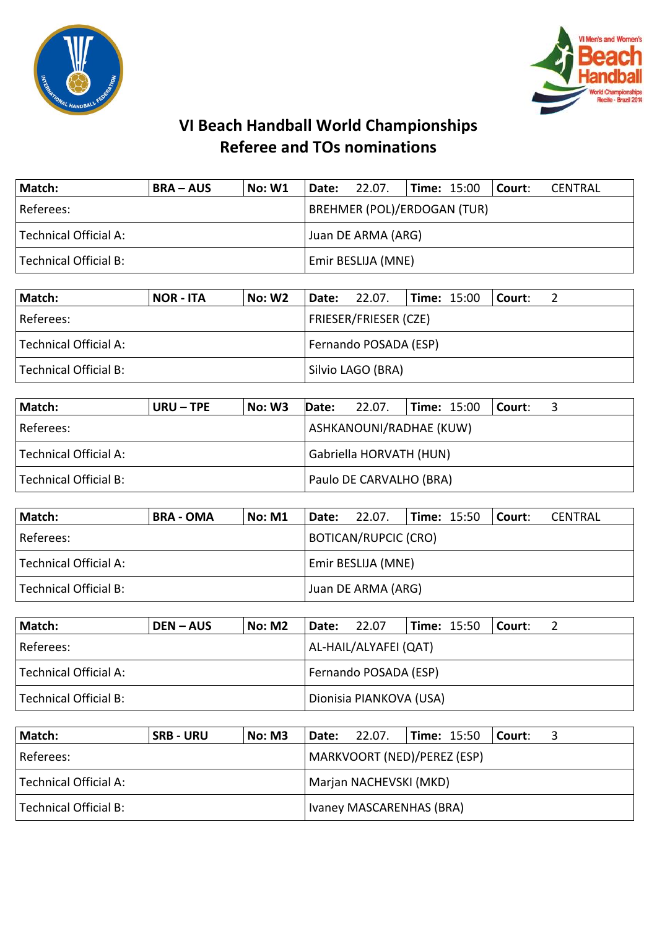



| Match:                | <b>BRA – AUS</b> | No: W1 | <b>Date:</b> 22.07.                |  |  |  | $ Time: 15:00$ $ Counter:$ | CENTRAL |  |
|-----------------------|------------------|--------|------------------------------------|--|--|--|----------------------------|---------|--|
| Referees:             |                  |        | <b>BREHMER (POL)/ERDOGAN (TUR)</b> |  |  |  |                            |         |  |
| Technical Official A: |                  |        | Juan DE ARMA (ARG)                 |  |  |  |                            |         |  |
| Technical Official B: |                  |        | Emir BESLIJA (MNE)                 |  |  |  |                            |         |  |

| Match:                | NOR - ITA | <b>No: W2</b> |                       | Date: 22.07.                 |  | <b>Time:</b> 15:00 | l Court: |  |  |
|-----------------------|-----------|---------------|-----------------------|------------------------------|--|--------------------|----------|--|--|
| Referees:             |           |               |                       | <b>FRIESER/FRIESER (CZE)</b> |  |                    |          |  |  |
| Technical Official A: |           |               | Fernando POSADA (ESP) |                              |  |                    |          |  |  |
| Technical Official B: |           |               |                       | Silvio LAGO (BRA)            |  |                    |          |  |  |

| Match:                    | URU – TPE | <b>No: W3</b> | Date:                   | 22.07.                  |  | <b>Time: 15:00 Court:</b> |  |  |  |  |  |
|---------------------------|-----------|---------------|-------------------------|-------------------------|--|---------------------------|--|--|--|--|--|
| l Referees:               |           |               |                         | ASHKANOUNI/RADHAE (KUW) |  |                           |  |  |  |  |  |
| Technical Official A:     |           |               | Gabriella HORVATH (HUN) |                         |  |                           |  |  |  |  |  |
| l Technical Official B: I |           |               |                         | Paulo DE CARVALHO (BRA) |  |                           |  |  |  |  |  |

| Match:                | <b>BRA - OMA</b> | <b>No: M1</b> | <b>Date:</b> 22.07.       |                    | <b>Time: 15:50</b> |  | Court: | CENTRAL |  |
|-----------------------|------------------|---------------|---------------------------|--------------------|--------------------|--|--------|---------|--|
| l Referees:           |                  |               | BOTICAN/RUPCIC (CRO)      |                    |                    |  |        |         |  |
| Technical Official A: |                  |               | <b>Emir BESLIJA (MNE)</b> |                    |                    |  |        |         |  |
| Technical Official B: |                  |               |                           | Juan DE ARMA (ARG) |                    |  |        |         |  |

| Match:                | <b>DEN-AUS</b> | <b>No: M2</b> | Date:                 | 22.07                   |  | <b>Time: 15:50</b> | l Court: |  |
|-----------------------|----------------|---------------|-----------------------|-------------------------|--|--------------------|----------|--|
| Referees:             |                |               | AL-HAIL/ALYAFEI (QAT) |                         |  |                    |          |  |
| Technical Official A: |                |               | Fernando POSADA (ESP) |                         |  |                    |          |  |
| Technical Official B: |                |               |                       | Dionisia PIANKOVA (USA) |  |                    |          |  |

| Match:                | <b>SRB - URU</b> | No: M3 |  | <b>Date:</b> 22.07.         |                        | $\blacksquare$ Time: 15:50 $\blacksquare$ Court: |  |  |  |  |
|-----------------------|------------------|--------|--|-----------------------------|------------------------|--------------------------------------------------|--|--|--|--|
| Referees:             |                  |        |  | MARKVOORT (NED)/PEREZ (ESP) |                        |                                                  |  |  |  |  |
| Technical Official A: |                  |        |  |                             | Marjan NACHEVSKI (MKD) |                                                  |  |  |  |  |
| Technical Official B: |                  |        |  | Ivaney MASCARENHAS (BRA)    |                        |                                                  |  |  |  |  |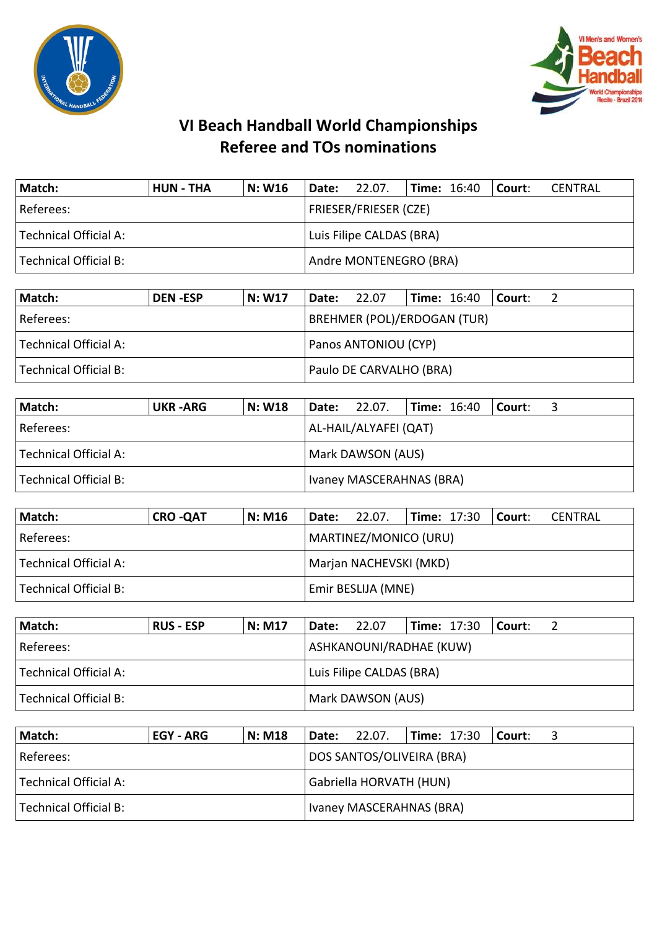



| Match:                | <b>HUN - THA</b> | N: W16 | <b>Date: 22.07.</b>          |  | $\textsf{Time: } 16:40$ Court: |  |  | CENTRAL |  |
|-----------------------|------------------|--------|------------------------------|--|--------------------------------|--|--|---------|--|
| Referees:             |                  |        | <b>FRIESER/FRIESER (CZE)</b> |  |                                |  |  |         |  |
| Technical Official A: |                  |        | Luis Filipe CALDAS (BRA)     |  |                                |  |  |         |  |
| Technical Official B: |                  |        | Andre MONTENEGRO (BRA)       |  |                                |  |  |         |  |

| Match:                | <b>DEN-ESP</b> | N: W17 | Date:                | 22.07                              |  |  | $\blacksquare$ Time: 16:40 $\blacksquare$ Court: |  |
|-----------------------|----------------|--------|----------------------|------------------------------------|--|--|--------------------------------------------------|--|
| Referees:             |                |        |                      | <b>BREHMER (POL)/ERDOGAN (TUR)</b> |  |  |                                                  |  |
| Technical Official A: |                |        | Panos ANTONIOU (CYP) |                                    |  |  |                                                  |  |
| Technical Official B: |                |        |                      | Paulo DE CARVALHO (BRA)            |  |  |                                                  |  |

| Match:                  | UKR -ARG | <b>N: W18</b> | <b>Date:</b> 22.07.      |  | $\textsf{Time: } 16:40$ Court: |  |  |  |  |
|-------------------------|----------|---------------|--------------------------|--|--------------------------------|--|--|--|--|
| Referees:               |          |               | AL-HAIL/ALYAFEI (QAT)    |  |                                |  |  |  |  |
| Technical Official A:   |          |               | Mark DAWSON (AUS)        |  |                                |  |  |  |  |
| l Technical Official B: |          |               | Ivaney MASCERAHNAS (BRA) |  |                                |  |  |  |  |

| Match:                | <b>CRO-QAT</b> | <b>N: M16</b> | <b>Date:</b> 22.07.    |  | <b>Time: 17:30</b> |  | Court: | CENTRAL |  |
|-----------------------|----------------|---------------|------------------------|--|--------------------|--|--------|---------|--|
| l Referees:           |                |               | MARTINEZ/MONICO (URU)  |  |                    |  |        |         |  |
| Technical Official A: |                |               | Marjan NACHEVSKI (MKD) |  |                    |  |        |         |  |
| Technical Official B: |                |               | Emir BESLIJA (MNE)     |  |                    |  |        |         |  |

| Match:                | <b>RUS - ESP</b> | <b>N: M17</b> | Date:                    | 22.07                   | <b>Time: 17:30</b> |  | l Court: |  |
|-----------------------|------------------|---------------|--------------------------|-------------------------|--------------------|--|----------|--|
| Referees:             |                  |               |                          | ASHKANOUNI/RADHAE (KUW) |                    |  |          |  |
| Technical Official A: |                  |               | Luis Filipe CALDAS (BRA) |                         |                    |  |          |  |
| Technical Official B: |                  |               |                          | Mark DAWSON (AUS)       |                    |  |          |  |

| Match:                | EGY - ARG | <b>N: M18</b> |                         | <b>Date:</b> 22.07.              |  |  | $\blacksquare$ Time: 17:30 $\blacksquare$ Court: |  |
|-----------------------|-----------|---------------|-------------------------|----------------------------------|--|--|--------------------------------------------------|--|
| Referees:             |           |               |                         | <b>DOS SANTOS/OLIVEIRA (BRA)</b> |  |  |                                                  |  |
| Technical Official A: |           |               | Gabriella HORVATH (HUN) |                                  |  |  |                                                  |  |
| Technical Official B: |           |               |                         | Ivaney MASCERAHNAS (BRA)         |  |  |                                                  |  |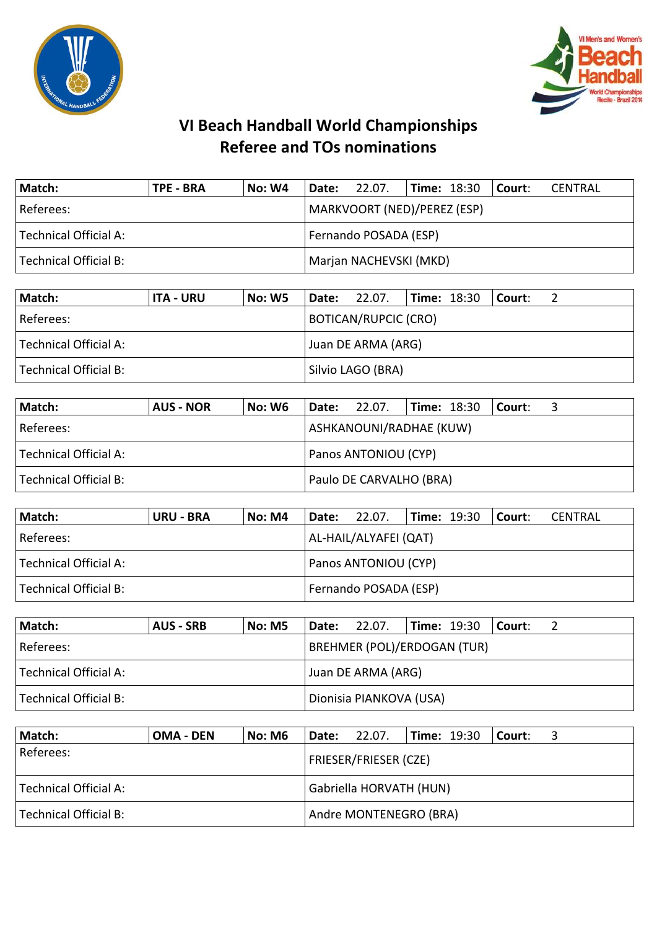



| Match:                | <b>TPE - BRA</b> | <b>No: W4</b>         | $ $ Date: 22.07.       |                             |  |  | $\textsf{Time: } 18:30$ Court: | CENTRAL |
|-----------------------|------------------|-----------------------|------------------------|-----------------------------|--|--|--------------------------------|---------|
| Referees:             |                  |                       |                        | MARKVOORT (NED)/PEREZ (ESP) |  |  |                                |         |
| Technical Official A: |                  | Fernando POSADA (ESP) |                        |                             |  |  |                                |         |
| Technical Official B: |                  |                       | Marjan NACHEVSKI (MKD) |                             |  |  |                                |         |

| Match:                                      | <b>ITA - URU</b> | No: W5 |                   | <b>Date:</b> 22.07.         | $\textsf{Time: } 18:30$ |  | l Court: l |  |
|---------------------------------------------|------------------|--------|-------------------|-----------------------------|-------------------------|--|------------|--|
| Referees:                                   |                  |        |                   | <b>BOTICAN/RUPCIC (CRO)</b> |                         |  |            |  |
| Technical Official A:<br>Juan DE ARMA (ARG) |                  |        |                   |                             |                         |  |            |  |
| Technical Official B:                       |                  |        | Silvio LAGO (BRA) |                             |                         |  |            |  |

| Match:                | <b>AUS - NOR</b> | No: W6 | <b>Date:</b> 22.07. |                         |  |  | $\textsf{Time: } 18:30$   Court: |  |  |  |
|-----------------------|------------------|--------|---------------------|-------------------------|--|--|----------------------------------|--|--|--|
| Referees:             |                  |        |                     | ASHKANOUNI/RADHAE (KUW) |  |  |                                  |  |  |  |
| Technical Official A: |                  |        |                     | Panos ANTONIOU (CYP)    |  |  |                                  |  |  |  |
| Technical Official B: |                  |        |                     | Paulo DE CARVALHO (BRA) |  |  |                                  |  |  |  |

| Match:                  | <b>URU - BRA</b> | <b>No: M4</b> | <b>Date:</b> 22.07.         |                       | $\textsf{Time: } 19:30$ |  | Court: | CENTRAL |
|-------------------------|------------------|---------------|-----------------------------|-----------------------|-------------------------|--|--------|---------|
| l Referees: l           |                  |               |                             | AL-HAIL/ALYAFEI (QAT) |                         |  |        |         |
| l Technical Official A: |                  |               | <b>Panos ANTONIOU (CYP)</b> |                       |                         |  |        |         |
| Technical Official B:   |                  |               |                             | Fernando POSADA (ESP) |                         |  |        |         |

| Match:                | AUS - SRB | No: M5 |  | <b>Date:</b> 22.07.                |  | <b>Time: 19:30</b> | l Court: |  |  |  |
|-----------------------|-----------|--------|--|------------------------------------|--|--------------------|----------|--|--|--|
| Referees:             |           |        |  | <b>BREHMER (POL)/ERDOGAN (TUR)</b> |  |                    |          |  |  |  |
| Technical Official A: |           |        |  | Juan DE ARMA (ARG)                 |  |                    |          |  |  |  |
| Technical Official B: |           |        |  | Dionisia PIANKOVA (USA)            |  |                    |          |  |  |  |

| Match:                | <b>OMA - DEN</b> | No: M6 | Date:                   | 22.07.                       | <b>Time: 19:30</b> | l Court: |  |  |  |
|-----------------------|------------------|--------|-------------------------|------------------------------|--------------------|----------|--|--|--|
| Referees:             |                  |        |                         | <b>FRIESER/FRIESER (CZE)</b> |                    |          |  |  |  |
| Technical Official A: |                  |        | Gabriella HORVATH (HUN) |                              |                    |          |  |  |  |
| Technical Official B: |                  |        |                         | Andre MONTENEGRO (BRA)       |                    |          |  |  |  |